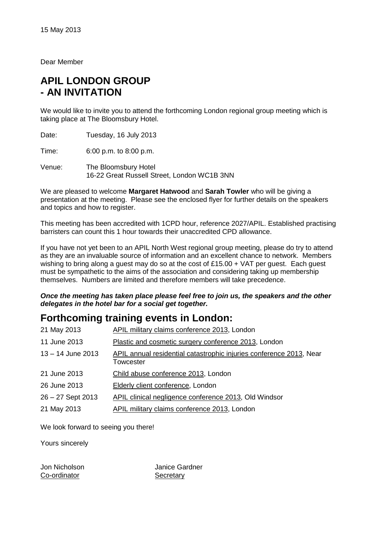Dear Member

# **APIL LONDON GROUP - AN INVITATION**

We would like to invite you to attend the forthcoming London regional group meeting which is taking place at The Bloomsbury Hotel.

Date: Tuesday, 16 July 2013

Time: 6:00 p.m. to 8:00 p.m.

Venue: The Bloomsbury Hotel 16-22 Great Russell Street, London WC1B 3NN

We are pleased to welcome **Margaret Hatwood** and **Sarah Towler** who will be giving a presentation at the meeting. Please see the enclosed flyer for further details on the speakers and topics and how to register.

This meeting has been accredited with 1CPD hour, reference 2027/APIL. Established practising barristers can count this 1 hour towards their unaccredited CPD allowance.

If you have not yet been to an APIL North West regional group meeting, please do try to attend as they are an invaluable source of information and an excellent chance to network. Members wishing to bring along a guest may do so at the cost of £15.00 + VAT per guest. Each guest must be sympathetic to the aims of the association and considering taking up membership themselves. Numbers are limited and therefore members will take precedence.

### *Once the meeting has taken place please feel free to join us, the speakers and the other delegates in the hotel bar for a social get together.*

# **Forthcoming training events in London:**

| 21 May 2013         | APIL military claims conference 2013, London                                     |
|---------------------|----------------------------------------------------------------------------------|
| 11 June 2013        | Plastic and cosmetic surgery conference 2013, London                             |
| $13 - 14$ June 2013 | APIL annual residential catastrophic injuries conference 2013, Near<br>Towcester |
| 21 June 2013        | Child abuse conference 2013, London                                              |
| 26 June 2013        | <b>Elderly client conference, London</b>                                         |
| $26 - 27$ Sept 2013 | APIL clinical negligence conference 2013, Old Windsor                            |
| 21 May 2013         | APIL military claims conference 2013, London                                     |

We look forward to seeing you there!

Yours sincerely

Co-ordinator Secretary

Jon Nicholson Janice Gardner